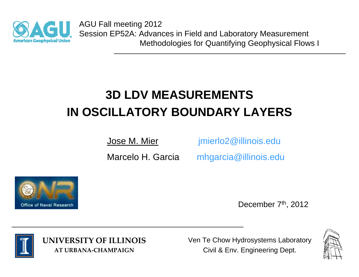

AGU Fall meeting 2012 Session EP52A: Advances in Field and Laboratory Measurement Methodologies for Quantifying Geophysical Flows I

# **3D LDV MEASUREMENTSIN OSCILLATORY BOUNDARY LAYERS**

Jose M. Mier imierlo2@illinois.edu

Marcelo H. Garcia mhgarcia@illinois.edu



December 7<sup>th</sup>, 2012



**UNIVERSITY OF ILLINOIS AT URBANA‐CHAMPAIGN**

Ven Te Chow Hydrosystems Laboratory Civil & Env. Engineering Dept.

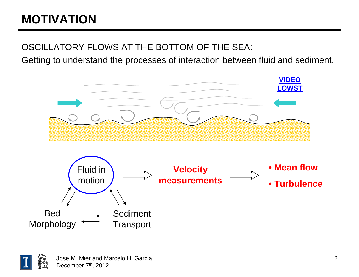# **MOTIVATION**

OSCILLATORY FLOWS AT THE BOTTOM OF THE SEA:

Getting to understand the processes of interaction between fluid and sediment.



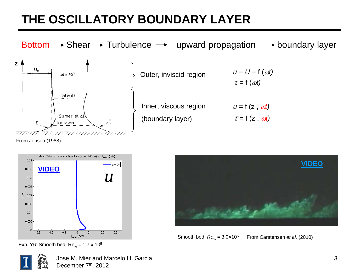#### **THE OSCILLATORY BOUNDARY LAYER**

Bottom  $\longrightarrow$  Shear  $\longrightarrow$  Turbulence  $\longrightarrow$  upward propagation  $\longrightarrow$  boundary layer z A  $U_{\alpha}$ *u* <sup>=</sup>*U* = f (ω*t)* Outer, inviscid region  $wt = 90^{\circ}$  $\tau = f(\omega t)$ Sleath Inner, viscous region  $u = f(z, \omega t)$ Sumer et al. (boundary layer)  $\tau = f(z, \omega t)$ Jonsson ū

From Jensen (1988)



Exp. Y6: Smooth bed. Re $_{\textrm{\tiny{W}}}$  = 1.7 x 10 $^{5}$ 



From Carstensen *et al.* (2010) Smooth bed, *Rew* = 3.0×10<sup>5</sup>



Jose M. Mier and Marcelo H. GarciaDecember 7<sup>th</sup>, 2012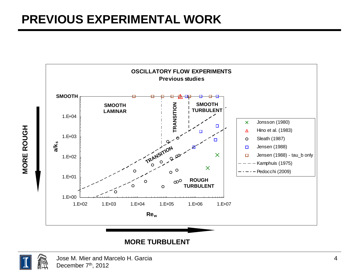#### **PREVIOUS EXPERIMENTAL WORK**



#### **MORE TURBULENT**



**MORE ROUGH**

**MORE ROUGH**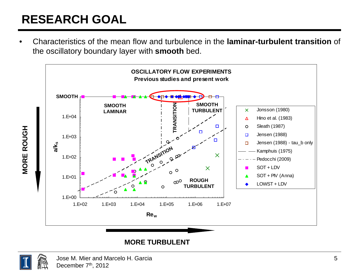# **RESEARCH GOAL**

• Characteristics of the mean flow and turbulence in the **laminar-turbulent transition** of the oscillatory boundary layer with **smooth** bed.



#### **MORE TURBULENT**



**MORE ROUGH**

**MORE ROUGH**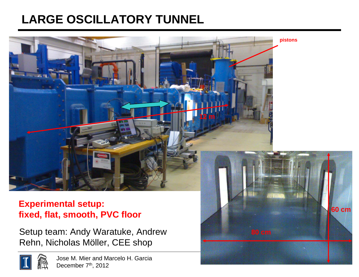#### **LARGE OSCILLATORY TUNNEL**



#### **Experimental setup: fixed, flat, smooth, PVC floor**

Setup team: Andy Waratuke, Andrew Rehn, Nicholas Möller, CEE shop



**pistons**

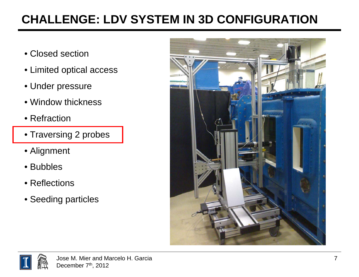### **CHALLENGE: LDV SYSTEM IN 3D CONFIGURATION**

- Closed section
- Limited optical access
- Under pressure
- Window thickness
- Refraction
- Traversing 2 probes
- Alignment
- Bubbles
- Reflections
- Seeding particles



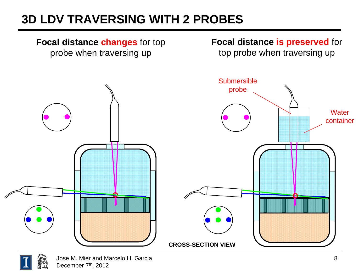### **3D LDV TRAVERSING WITH 2 PROBES**



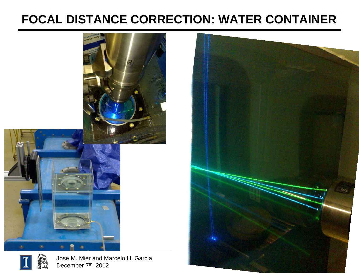#### **FOCAL DISTANCE CORRECTION: WATER CONTAINER**







Jose M. Mier and Marcelo H. Garcia December 7<sup>th</sup>, 2012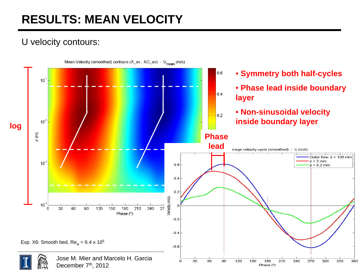### **RESULTS: MEAN VELOCITY**

#### U velocity contours:

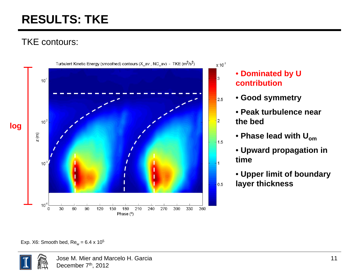### **RESULTS: TKE**

#### TKE contours:



#### • **Dominated by U contribution**

- **Good symmetry**
- **Peak turbulence near the bed**
- **Phase lead with Uom**
- **Upward propagation in time**
- **Upper limit of boundary layer thickness**

Exp. X6: Smooth bed, Re $_{\textrm{w}}$  = 6.4 x 10<sup>5</sup>